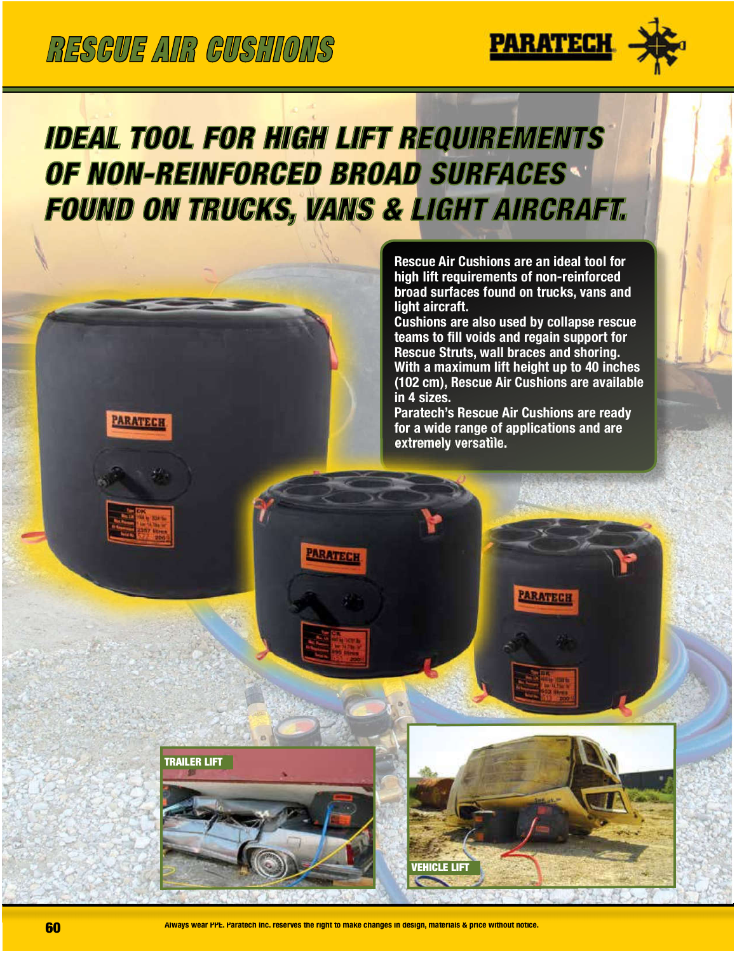**PARATECH** 

**TRAILER LIFT** 



## **IDEAL TOOL FOR HIGH LIFT REQUIREMENTS OF NON-REINFORCED BROAD SURFACES FOUND ON TRUCKS, VANS & LIGHT AIRCRAFT.**

**PARATECH** 

Rescue Air Cushions are an ideal tool for high lift requirements of non-reinforced broad surfaces found on trucks, vans and light aircraft.

Cushions are also used by collapse rescue teams to fill voids and regain support for Rescue Struts, wall braces and shoring. With a maximum lift height up to 40 inches (102 cm), Rescue Air Cushions are available in 4 sizes.

Paratech's Rescue Air Cushions are ready for a wide range of applications and are extremely versatile.

PARATECH



**VEHICLE LIFT**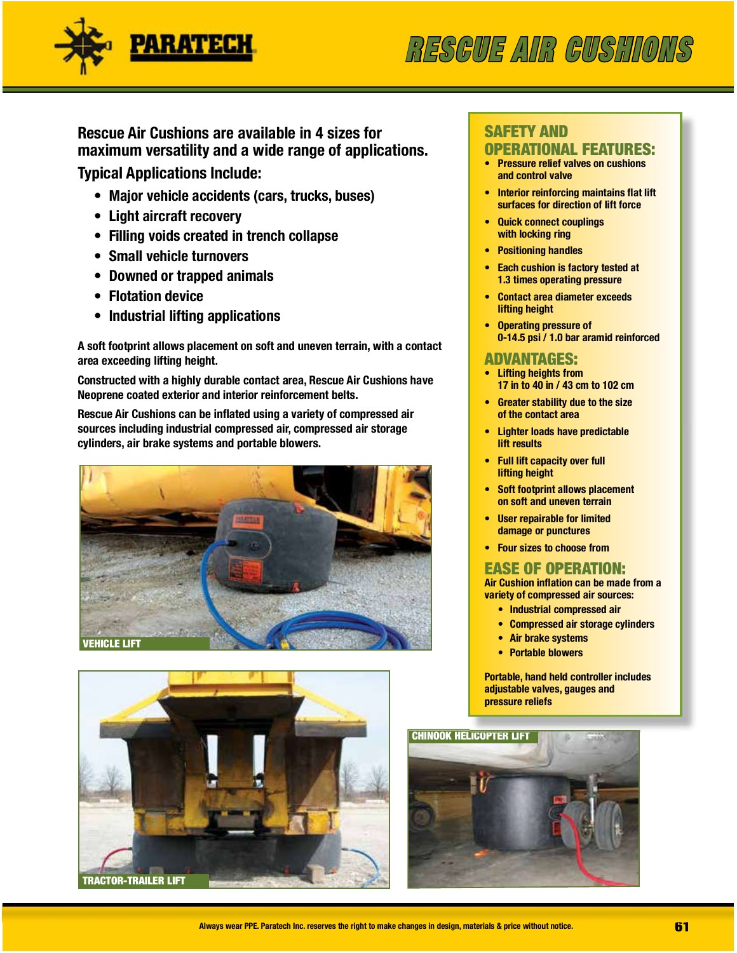

## RESCUE AIR CUSHIONS

#### Rescue Air Cushions are available in 4 sizes for maximum versatility and a wide range of applications. **Typical Applications Include:**

• Major vehicle accidents (cars, trucks, buses)

- Light aircraft recovery
- Filling voids created in trench collapse
- Small vehicle turnovers
- Downed or trapped animals
- Flotation device
- Industrial lifting applications

A soft footprint allows placement on soft and uneven terrain, with a contact area exceeding lifting height.

Constructed with a highly durable contact area, Rescue Air Cushions have Neoprene coated exterior and interior reinforcement belts.

Rescue Air Cushions can be inflated using a variety of compressed air sources including industrial compressed air, compressed air storage cylinders, air brake systems and portable blowers.





#### **SAFETY AND OPERATIONAL FEATURES:**

- Pressure relief valves on cushions and control valve
- **Interior reinforcing maintains flat lift** surfaces for direction of lift force
- **Quick connect couplings** with locking ring
- Positioning handles
- Each cushion is factory tested at 1.3 times operating pressure
- Contact area diameter exceeds **lifting height**
- Operating pressure of 0-14.5 psi / 1.0 bar aramid reinforced

#### ADVANTAGES:

- **Lifting heights from** 17 in to 40 in / 43 cm to 102 cm
- **Greater stability due to the size** of the contact area
- **Lighter loads have predictable** lift results
- **Full lift capacity over full** lifting height
- **Soft footprint allows placement** on soft and uneven terrain
- User repairable for limited damage or punctures
- **Four sizes to choose from**

#### **EASE OF OPERATION:**

Air Cushion inflation can be made from a variety of compressed air sources:

- Industrial compressed air
- Compressed air storage cylinders
- Air brake systems
- Portable blowers

Portable, hand held controller includes adjustable valves, gauges and pressure reliefs

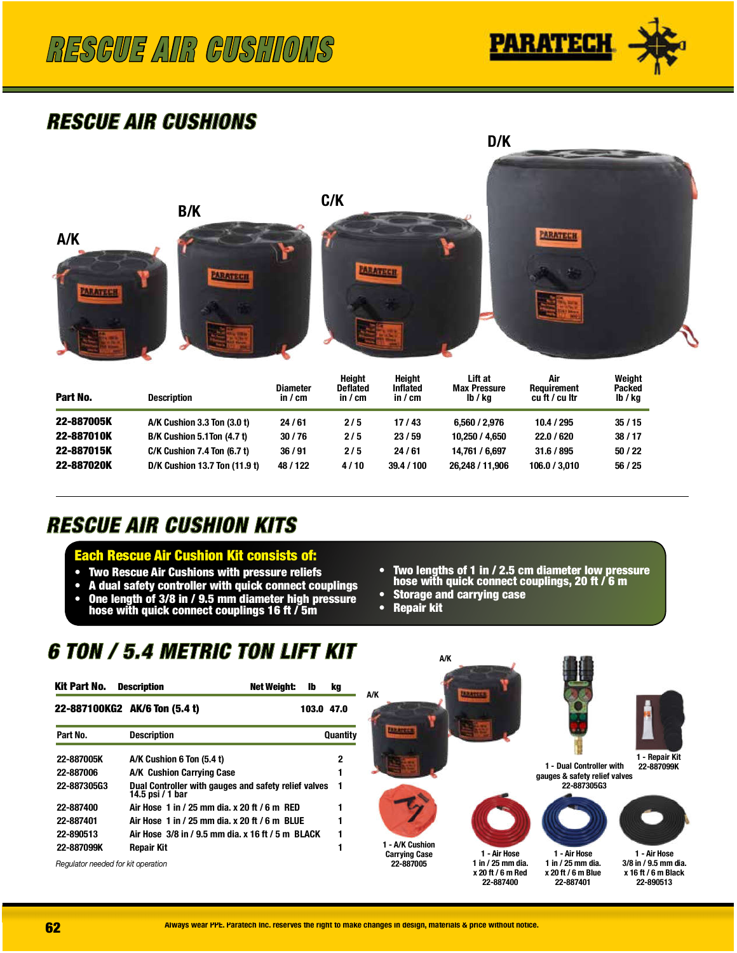

### **RESCUE AIR CUSHIONS**



| Part No.   | <b>Description</b>             | <b>Diameter</b><br>in / cm | Height<br><b>Deflated</b><br>in / cm | Height<br><b>Inflated</b><br>in $\prime$ cm | Lift at<br><b>Max Pressure</b><br>lb / ka | Air<br>Requirement<br>cu ft / cu ltr | Weight<br><b>Packed</b><br>lb / kg |
|------------|--------------------------------|----------------------------|--------------------------------------|---------------------------------------------|-------------------------------------------|--------------------------------------|------------------------------------|
| 22-887005K | A/K Cushion 3.3 Ton (3.0 t)    | 24/61                      | 2/5                                  | 17/43                                       | 6.560 / 2.976                             | 10.4 / 295                           | 35/15                              |
| 22-887010K | B/K Cushion 5.1Ton (4.7 t)     | 30/76                      | 2/5                                  | 23/59                                       | 10.250 / 4.650                            | 22.0 / 620                           | 38/17                              |
| 22-887015K | $C/K$ Cushion 7.4 Ton $(6.7t)$ | 36/91                      | 2/5                                  | 24/61                                       | 14.761 / 6.697                            | 31.6 / 895                           | 50/22                              |
| 22-887020K | D/K Cushion 13.7 Ton (11.9 t)  | 48 / 122                   | 4/10                                 | 39.4 / 100                                  | 26,248 / 11,906                           | 106.0 / 3.010                        | 56 / 25                            |

### **RESCUE AIR CUSHION KITS**

#### **Each Rescue Air Cushion Kit consists of:**

- **Two Rescue Air Cushions with pressure reliefs**
- A dual safety controller with quick connect couplings
- One length of 3/8 in / 9.5 mm diameter high pressure hose with quick connect couplings 16 ft  $\bar{/}$  5m
- Two lengths of 1 in / 2.5 cm diameter low pressure hose with quick connect couplings, 20 ft  $\ell$  6 m

D/K

- **Storage and carrying case**
- Repair kit

### 6 TON / 5.4 METRIC TON LIFT KIT

| Kit Part No.                       | <b>Description</b><br>Net Weiaht:<br>lb                                  | kq       |
|------------------------------------|--------------------------------------------------------------------------|----------|
|                                    | 22-887100KG2 AK/6 Ton (5.4 t)<br>103.0 47.0                              |          |
| Part No.                           | <b>Description</b>                                                       | Quantity |
| 22-887005K                         | A/K Cushion 6 Ton (5.4 t)                                                | 2        |
| 22-887006                          | A/K Cushion Carrying Case                                                |          |
| 22-887305G3                        | Dual Controller with gauges and safety relief valves<br>14.5 psi / 1 bar | 1        |
| 22-887400                          | Air Hose 1 in / 25 mm dia. x 20 ft / 6 m RED                             |          |
| 22-887401                          | Air Hose 1 in / 25 mm dia. x 20 ft / 6 m BLUE                            |          |
| 22-890513                          | Air Hose 3/8 in / 9.5 mm dia. x 16 ft / 5 m BLACK                        | 1        |
| 22-887099K                         | Repair Kit                                                               |          |
| Regulator needed for kit operation |                                                                          |          |

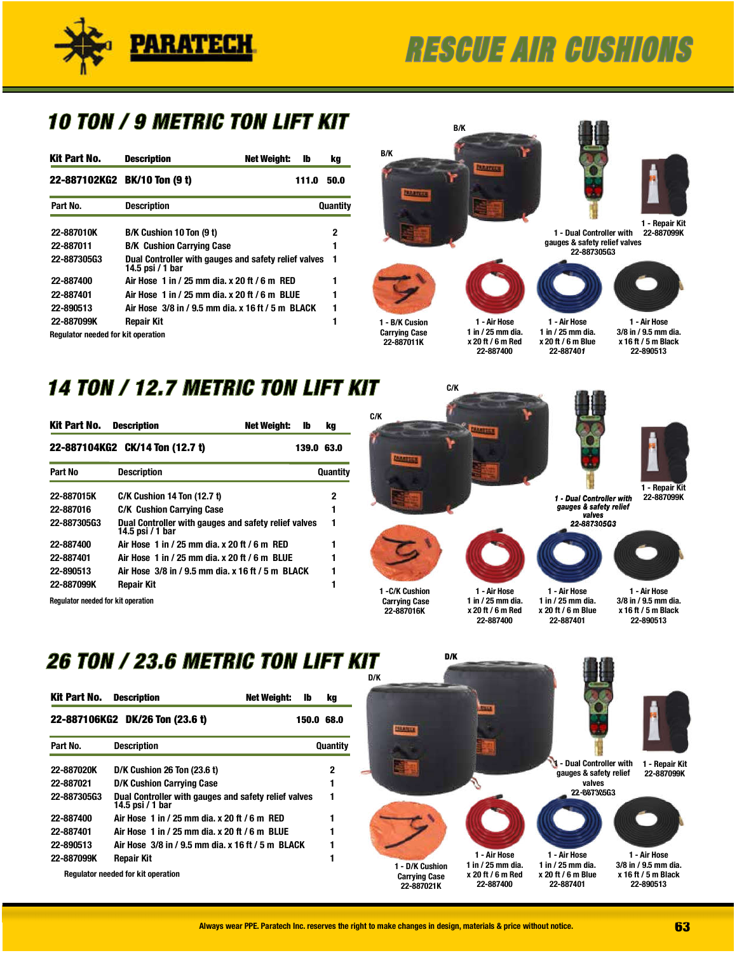

# **RESCUE AIR CUSHIONS**

### 10 TON / 9 METRIC TON LIFT KIT

| Kit Part No.                              | <b>Description</b>                                                       | <b>Net Weight:</b> | lb    | kq       |
|-------------------------------------------|--------------------------------------------------------------------------|--------------------|-------|----------|
|                                           | 22-887102KG2 BK/10 Ton (9 t)                                             |                    | 111.0 | 50.0     |
| Part No.                                  | <b>Description</b>                                                       |                    |       | Quantity |
| 22-887010K                                | B/K Cushion 10 Ton (9 t)                                                 |                    |       | 2        |
| 22-887011                                 | <b>B/K Cushion Carrying Case</b>                                         |                    |       | 1        |
| 22-887305G3                               | Dual Controller with gauges and safety relief valves<br>14.5 psi / 1 bar |                    |       | 1        |
| 22-887400                                 | Air Hose 1 in / 25 mm dia. x 20 ft / 6 m RED                             |                    |       |          |
| 22-887401                                 | Air Hose 1 in / 25 mm dia. x 20 ft / 6 m BLUE                            |                    |       |          |
| 22-890513                                 | Air Hose 3/8 in / 9.5 mm dia. x 16 ft / 5 m BLACK                        |                    |       |          |
| 22-887099K                                | Repair Kit                                                               |                    |       |          |
| <b>Regulator needed for kit operation</b> |                                                                          |                    |       |          |



### 14 TON / 12.7 METRIC TON LIFT KIT

| Kit Part No.                              | <b>Description</b><br><b>Net Weight:</b>                                 | lb    | kq       |
|-------------------------------------------|--------------------------------------------------------------------------|-------|----------|
|                                           | 22-887104KG2 CK/14 Ton (12.7 t)                                          | 139.0 | 63.0     |
| Part No                                   | <b>Description</b>                                                       |       | Quantity |
| 22-887015K                                | <b>C/K Cushion 14 Ton (12.7 t)</b>                                       |       | 2        |
| 22-887016                                 | <b>C/K Cushion Carrying Case</b>                                         |       | 1        |
| 22-88730563                               | Dual Controller with gauges and safety relief valves<br>14.5 psi / 1 bar |       | 1        |
| 22-887400                                 | Air Hose 1 in / 25 mm dia. x 20 ft / 6 m RED                             |       |          |
| 22-887401                                 | Air Hose 1 in / 25 mm dia. x 20 ft / 6 m BLUE                            |       |          |
| 22-890513                                 | Air Hose 3/8 in / 9.5 mm dia. x 16 ft / 5 m BLACK                        |       |          |
| 22-887099K                                | Repair Kit                                                               |       |          |
| <b>Requiator needed for kit operation</b> |                                                                          |       |          |



### 26 TON / 23.6 METRIC TON LIFT KIT

| Kit Part No.       | <b>Description</b><br>Net Weight:                                        | Ib | kq         |
|--------------------|--------------------------------------------------------------------------|----|------------|
|                    | 22-887106KG2 DK/26 Ton (23.6 t)                                          |    | 150.0 68.0 |
| Part No.           | <b>Description</b>                                                       |    | Quantity   |
| 22-887020K         | <b>D/K Cushion 26 Ton (23.6 t)</b>                                       |    | 2          |
| 22-887021          | <b>D/K Cushion Carrying Case</b>                                         |    | 1          |
| <b>22-887305G3</b> | Dual Controller with gauges and safety relief valves<br>14.5 psi / 1 bar |    | 1          |
| 22-887400          | Air Hose 1 in / 25 mm dia. x 20 ft / 6 m RED                             |    |            |
| 22-887401          | Air Hose 1 in / 25 mm dia. x 20 ft / 6 m BLUE                            |    |            |
| 22-890513          | Air Hose 3/8 in / 9.5 mm dia. x 16 ft / 5 m BLACK                        |    | 1          |
| 22-887099K         | <b>Repair Kit</b>                                                        |    |            |
|                    | <b>Requiator needed for kit operation</b>                                |    |            |

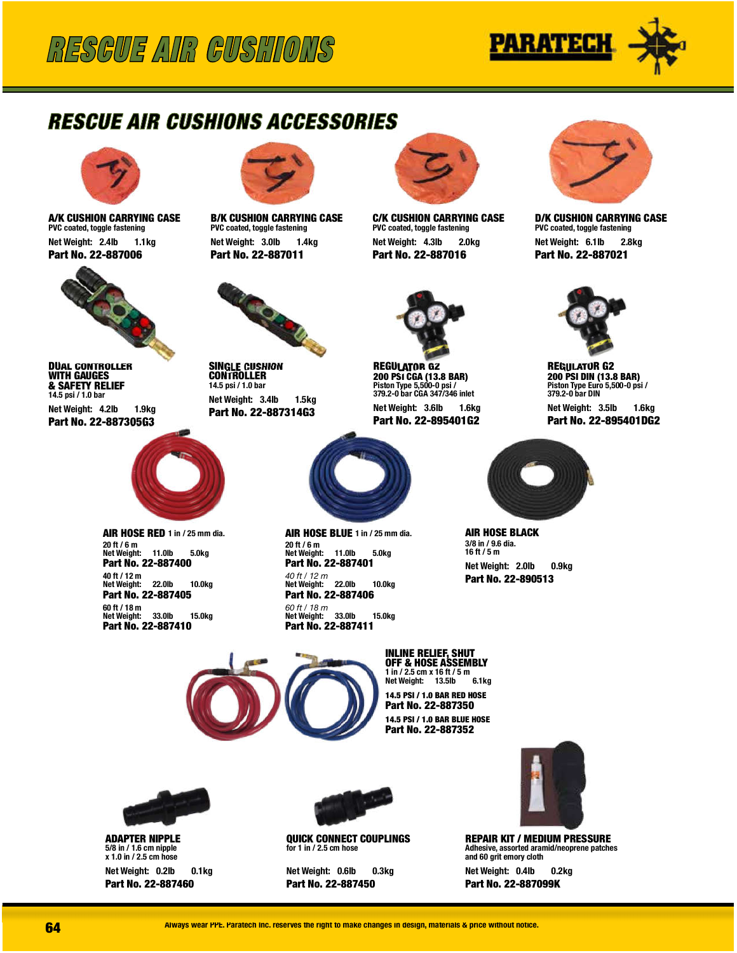

### RESCUE AIR CUSHIONS ACCESSORIES



A/K CUSHION CARRYING CASE PVC coated, toggle fastening NetWeight: 2.4lb 1.1kg Part No. 22-887006



**DUAL CONTROLLER** WITH GAUGES & SAFETY RELIEF 14.5 psi / 1.0 bar NetWeight: 4.2lb 1.9kg Part No. 22-887305G3



AIR HOSE RED 1 in / 25 mm dia. 20ft/6m NetWeight: 11.0lb 5.0kg Part No. 22-887400 40ft/12m NetWeight: 22.0lb 10.0kg Part No. 22-887405 60ft/18m NetWeight: 33.0lb 15.0kg Part No. 22-887410



**B/K CUSHION CARRYING CASE** PVC coated, toggle fastening NetWeight: 3.0lb 1.4kg Part No. 22-887011



**SINGLE CUSHION CONTROLLER** 14.5 psi / 1.0 bar NetWeight: 3.4lb 1.5kg Part No. 22-887314G3



**C/K CUSHION CARRYING CASE** PVC coated, toggle fastening NetWeight: 4.3lb 2.0kg Part No. 22-887016



**REGULATOR G2** 200PSICGA(13.8BAR) Piston Type 5,500-0 psi /<br>379.2-0 bar CGA 347/346 inlet NetWeight: 3.6lb 1.6kg Part No. 22-895401G2



D/K CUSHION CARRYING CASE PVC coated, toggle fastening NetWeight: 6.1lb 2.8kg Part No. 22-887021



**REGULATOR G2** 200 PSI DIN (13.8 BAR) Piston Type Euro 5,500-0 psi /<br>379.2-0 bar DIN

NetWeight: 3.5lb 1.6kg Part No. 22-895401DG2



**AIR HOSE BLACK** 3/8in/9.6dia. 16ft/5m NetWeight: 2.0lb 0.9kg Part No. 22-890513



INLINE RELIEF, SHUT OFF & HOSE ASSEMBLY 1in/2.5cmx16ft/5m Net Weight: 13.5lb 14.5PSI/1.0BARREDHOSE Part No. 22-887350 14.5 PSI / 1.0 BAR BLUE HOSE Part No. 22-887352



**ADAPTER NIPPLE** 5/8in/1.6cmnipple x 1.0 in / 2.5 cm hose NetWeight: 0.2lb 0.1kg Part No. 22-887460



AIR HOSE BLUE 1 in / 25 mm dia.

NetWeight: 11.0lb 5.0kg Part No. 22-887401 40ft/12m NetWeight: 22.0lb 10.0kg Part No. 22-887406 60ft/18m NetWeight: 33.0lb 15.0kg Part No. 22-887411

20ft/6m

QUICK CONNECT COUPLINGS for 1 in / 2.5 cm hose

NetWeight: 0.6lb 0.3kg Part No. 22-887450



REPAIR KIT / MEDIUM PRESSURE Adhesive, assorted aramid/neoprene patches and 60 grit emory cloth

NetWeight: 0.4lb 0.2kg Part No. 22-887099K